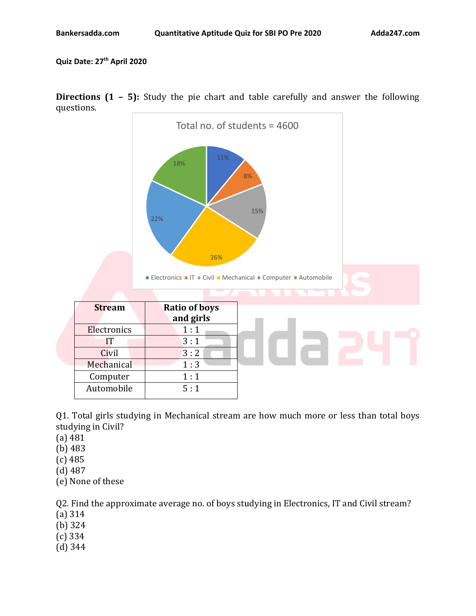**Quiz Date: 27 th April 2020**



**Directions (1 – 5):** Study the pie chart and table carefully and answer the following questions.

Q1. Total girls studying in Mechanical stream are how much more or less than total boys studying in Civil?

- (a) 481
- (b) 483
- (c) 485
- (d) 487
- (e) None of these

Q2. Find the approximate average no. of boys studying in Electronics, IT and Civil stream?

- (a) 314
- (b) 324
- (c) 334
- (d) 344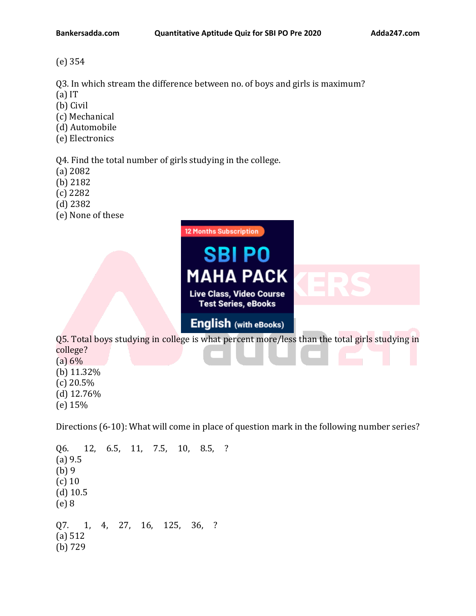(e) 354

Q3. In which stream the difference between no. of boys and girls is maximum?

- (a) IT
- (b) Civil
- (c) Mechanical
- (d) Automobile
- (e) Electronics

Q4. Find the total number of girls studying in the college.

- (a) 2082
- (b) 2182
- (c) 2282
- (d) 2382
- (e) None of these



- college?  $(a) 6%$
- (b) 11.32%
- $(c)$  20.5% (d) 12.76%
- 
- (e) 15%

Directions (6-10): What will come in place of question mark in the following number series?

Q6. 12, 6.5, 11, 7.5, 10, 8.5, ? (a) 9.5 (b) 9 (c) 10 (d) 10.5 (e) 8 Q7. 1, 4, 27, 16, 125, 36, ? (a) 512 (b) 729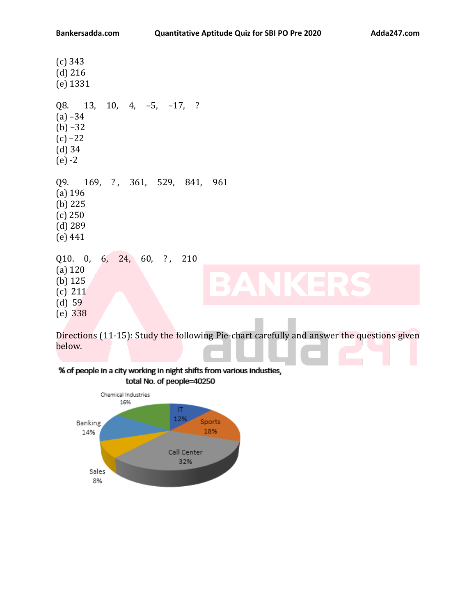| $(c)$ 343<br>$(d)$ 216<br>$(e)$ 1331                                                                                             |                                  |
|----------------------------------------------------------------------------------------------------------------------------------|----------------------------------|
| Q8. 13, 10, 4, -5, -17, ?<br>$(a) -34$<br>$(b) -32$<br>$(c) -22$<br>$(d)$ 34<br>$(e) -2$                                         |                                  |
| Q9. 169, ?, 361, 529, 841, 961<br>$(a)$ 196<br>$(b)$ 225<br>(c) 250<br>$(d)$ 289<br>(e) 441                                      |                                  |
| 6, 24, 60, ?, 210<br>Q10. 0,                                                                                                     |                                  |
| $(a)$ 120<br>$\blacksquare$<br><b>Contract</b><br>(b) $125$<br>$\blacktriangle$<br>$\overline{\phantom{a}}$<br>(c) 211<br>(d) 59 | $\blacksquare$<br>$\blacksquare$ |
| $(e)$ 338                                                                                                                        |                                  |

Directions (11-15): Study the following Pie-chart carefully and answer the questions given below.

% of people in a city working in night shifts from various industies, total No. of people=40250

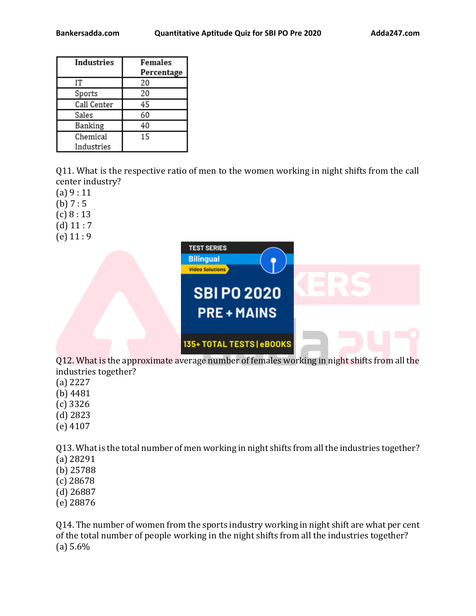| Industries  | Females<br>Percentage |
|-------------|-----------------------|
| IΤ          | 20                    |
| Sports      | 20                    |
| Call Center | 45                    |
| Sales       | 60                    |
| Banking     | 40                    |
| Chemical    | 15                    |
| Industries  |                       |

Q11. What is the respective ratio of men to the women working in night shifts from the call center industry?

(a) 9 : 11

- (b)  $7:5$
- $(c) 8:13$
- $(d)$  11 : 7
- $(e)$  11 : 9



Q12. What is the approximate average number of females working in night shifts from all the industries together?

- (a) 2227
- (b) 4481
- (c) 3326
- (d) 2823
- (e) 4107

Q13. What is the total number of men working in night shifts from all the industries together? (a) 28291

- (b) 25788
- (c) 28678
- (d) 26887
- (e) 28876

Q14. The number of women from the sports industry working in night shift are what per cent of the total number of people working in the night shifts from all the industries together? (a) 5.6%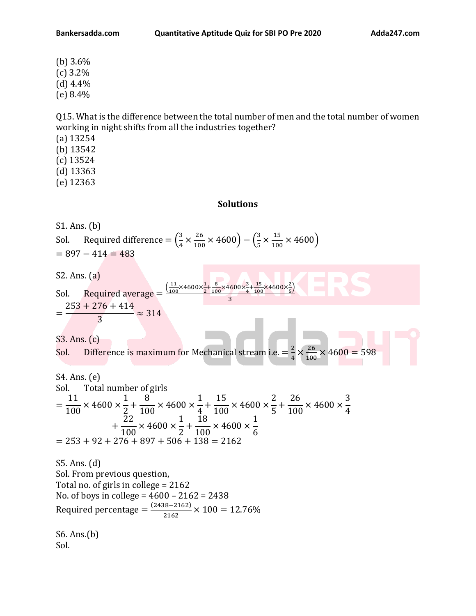(b) 3.6% (c) 3.2%  $(d)$  4.4% (e) 8.4%

Q15. What is the difference between the total number of men and the total number of women working in night shifts from all the industries together?

- (a) 13254
- (b) 13542
- (c) 13524
- (d) 13363
- (e) 12363

**Solutions**

S1. Ans. (b) Sol. Required difference  $=\left(\frac{3}{4}\right)$  $\frac{3}{4} \times \frac{26}{100}$  $\frac{26}{100}$  × 4600) –  $\left(\frac{3}{5}\right)$  $\frac{3}{5} \times \frac{15}{100}$  $\frac{15}{100}$  × 4600)  $= 897 - 414 = 483$ S2. Ans. (a) Sol. Required average =  $\frac{\left( \frac{11}{100} \right)}{\frac{1}{100}}$  $\frac{11}{100}$ ×4600× $\frac{1}{2}$  $\frac{1}{2} + \frac{8}{10}$  $\frac{8}{100} \times 4600 \times \frac{3}{4}$  $\frac{3}{4} + \frac{15}{100}$  $rac{15}{100}$  × 4600 ×  $rac{2}{5}$  $\frac{2}{5}$ 3 =  $253 + 276 + 414$ 3  $\approx$  314 S3. Ans. (c) Sol. Difference is maximum for Mechanical stream i.e.  $=$   $\frac{2}{7}$  $\frac{2}{4} \times \frac{26}{100}$  $\frac{26}{100}$  × 4600 = 598 S4. Ans. (e) Sol. Total number of girls = 11 100  $\times$  4600  $\times$ 1 2 + 8 100  $\times$  4600  $\times$ 1 4 + 15 100  $\times$  4600  $\times$ 2 5 + 26 100  $\times$  4600  $\times$ 3 4 + 22 100  $\times$  4600  $\times$ 1 2 + 18 100  $\times$  4600  $\times$ 1 6  $= 253 + 92 + 276 + 897 + 506 + 138 = 2162$ S5. Ans. (d) Sol. From previous question, Total no. of girls in college = 2162 No. of boys in college = 4600 – 2162 = 2438 Required percentage =  $\frac{(2438-2162)}{3462}$  $\frac{2.562}{2162} \times 100 = 12.76\%$ S6. Ans.(b) Sol.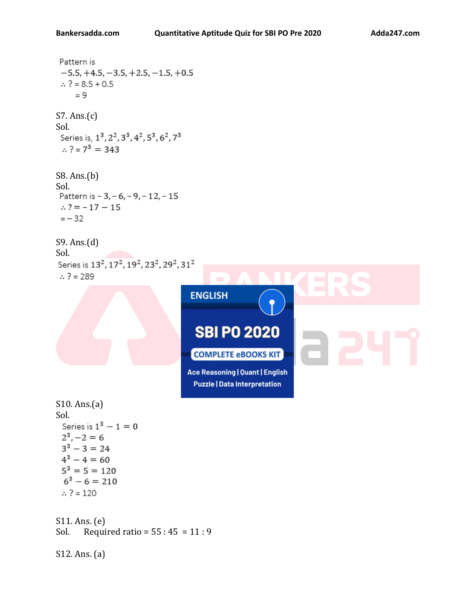```
Pattern is
 -5.5, +4.5, -3.5, +2.5, -1.5, +0.5\therefore ? = 8.5 + 0.5
      = 9S7. Ans.(c)
Sol.<br>Series is, 1<sup>3</sup>, 2<sup>2</sup>, 3<sup>3</sup>, 4<sup>2</sup>, 5<sup>3</sup>, 6<sup>2</sup>, 7<sup>3</sup>
 \therefore ? = 7<sup>3</sup> = 343
S8. Ans.(b)
Sol.
 Pattern is - 3, - 6, - 9, - 12, - 15
 \therefore ? = -17 -15
 =-32S9. Ans.(d)
Sol.<br>Series is 13<sup>2</sup>, 17<sup>2</sup>, 19<sup>2</sup>, 23<sup>2</sup>, 29<sup>2</sup>, 31<sup>2</sup>
 \therefore ? = 289
                                                ENGLISH
                                                 SBI PO 2020
                                                COMPLETE eBOOKS KIT
                                               Ace Reasoning | Quant | English
                                                 Puzzle | Data Interpretation
S10. Ans.(a)
Sol.
  Series is 1^3 - 1 = 02^3, -2 = 63^3 - 3 = 244^3 - 4 = 605^3 = 5 = 1206^3 - 6 = 210\therefore ? = 120
S11. Ans. (e)
Sol. Required ratio = 55:45 = 11:9S12. Ans. (a)
```